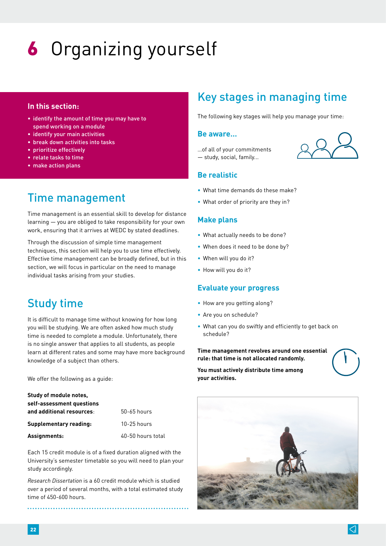# 6 Organizing yourself

### **In this section:**

- identify the amount of time you may have to spend working on a module
- identify your main activities
- break down activities into tasks
- prioritize effectively
- relate tasks to time
- make action plans

# Time management

Time management is an essential skill to develop for distance learning — you are obliged to take responsibility for your own work, ensuring that it arrives at WEDC by stated deadlines.

Through the discussion of simple time management techniques, this section will help you to use time effectively. Effective time management can be broadly defined, but in this section, we will focus in particular on the need to manage individual tasks arising from your studies.

# Study time

It is difficult to manage time without knowing for how long you will be studying. We are often asked how much study time is needed to complete a module. Unfortunately, there is no single answer that applies to all students, as people learn at different rates and some may have more background knowledge of a subject than others.

We offer the following as a guide:

| Study of module notes,    |                   |
|---------------------------|-------------------|
| self-assessment questions |                   |
| and additional resources: | $50-65$ hours     |
| Supplementary reading:    | $10-25$ hours     |
| Assignments:              | 40-50 hours total |

Each 15 credit module is of a fixed duration aligned with the University's semester timetable so you will need to plan your study accordingly.

*Research Dissertation* is a 60 credit module which is studied over a period of several months, with a total estimated study time of 450-600 hours.

# Key stages in managing time

The following key stages will help you manage your time:

### **Be aware…**

…of all of your commitments — study, social, family...

### **Be realistic**

- What time demands do these make?
- What order of priority are they in?

### **Make plans**

- What actually needs to be done?
- When does it need to be done by?
- When will you do it?
- How will you do it?

### **Evaluate your progress**

- How are you getting along?
- Are you on schedule?
- What can you do swiftly and efficiently to get back on schedule?

**Time management revolves around one essential rule: that time is not allocated randomly.** 

**You must actively distribute time among your activities.** 

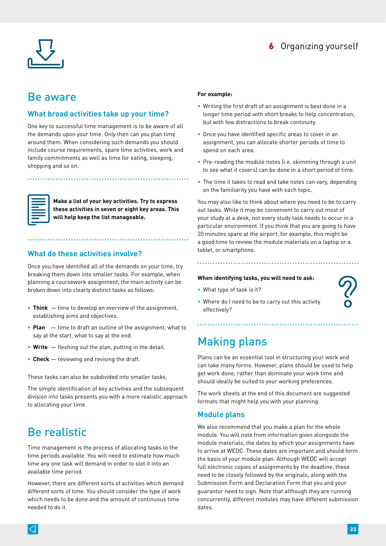

## 6 Organizing yourself

# Be aware

### **What broad activities take up your time?**

One key to successful time management is to be aware of all the demands upon your time. Only then can you plan time around them. When considering such demands you should include course requirements, spare time activities, work and family commitments as well as time for eating, sleeping, shopping and so on.



**Make a list of your key activities. Try to express these activities in seven or eight key areas. This will help keep the list manageable.**

### **What do these activities involve?**

Once you have identified all of the demands on your time, try breaking them down into smaller tasks. For example, when planning a coursework assignment, the main activity can be broken down into clearly distinct tasks as follows:

- **Think** time to develop an overview of the assignment, establishing aims and objectives.
- **Plan**  time to draft an outline of the assignment, what to say at the start, what to say at the end.
- **Write** fleshing out the plan, putting in the detail.
- **Check** reviewing and revising the draft.

These tasks can also be subdivided into smaller tasks.

The simple identification of key activities and the subsequent division into tasks presents you with a more realistic approach to allocating your time.

# Be realistic

Time management is the process of allocating tasks to the time periods available. You will need to estimate how much time any one task will demand in order to slot it into an available time period.

However, there are different sorts of activities which demand different sorts of time. You should consider the type of work which needs to be done and the amount of continuous time needed to do it.

#### **For example:**

- Writing the first draft of an assignment is best done in a longer time period with short breaks to help concentration, but with few distractions to break continuity.
- Once you have identified specific areas to cover in an assignment, you can allocate shorter periods of time to spend on each area.
- Pre-reading the module notes (i.e. skimming through a unit to see what it covers) can be done in a short period of time.
- The time it takes to read and take notes can vary, depending on the familiarity you have with each topic.

You may also like to think about where you need to be to carry out tasks. While it may be convenient to carry out most of your study at a desk, not every study task needs to occur in a particular environment. If you think that you are going to have 20 minutes spare at the airport, for example, this might be a good time to review the module materials on a laptop or a tablet, or smartphone.

#### **When identifying tasks, you will need to ask:**

• What type of task is it?



• Where do I need to be to carry out this activity effectively?

# Making plans

Plans can be an essential tool in structuring your work and can take many forms. However, plans should be used to help get work done, rather than dominate your work time and should ideally be suited to your working preferences.

The work sheets at the end of this document are suggested formats that might help you with your planning.

### **Module plans**

We also recommend that you make a plan for the whole module. You will note from information given alongside the module materials, the dates by which your assignments have to arrive at WEDC. These dates are important and should form the basis of your module plan. Although WEDC will accept full electronic copies of assignments by the deadline, these need to be closely followed by the originals, along with the Submission Form and Declaration Form that you and your guarantor need to sign. Note that although they are running concurrently, different modules may have different submission dates.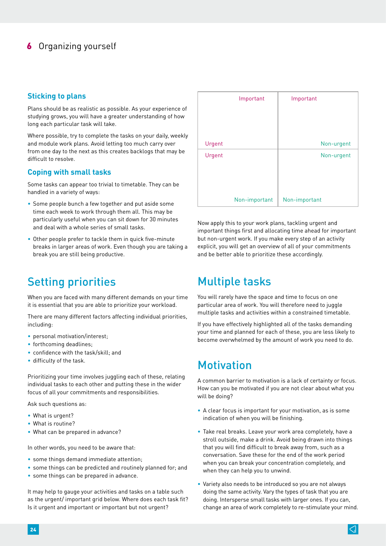## **6** Organizing yourself

### **Sticking to plans**

Plans should be as realistic as possible. As your experience of studying grows, you will have a greater understanding of how long each particular task will take.

Where possible, try to complete the tasks on your daily, weekly and module work plans. Avoid letting too much carry over from one day to the next as this creates backlogs that may be difficult to resolve.

### **Coping with small tasks**

Some tasks can appear too trivial to timetable. They can be handled in a variety of ways:

- Some people bunch a few together and put aside some time each week to work through them all. This may be particularly useful when you can sit down for 30 minutes and deal with a whole series of small tasks.
- Other people prefer to tackle them in quick five-minute breaks in larger areas of work. Even though you are taking a break you are still being productive.

# Setting priorities

When you are faced with many different demands on your time it is essential that you are able to prioritize your workload.

There are many different factors affecting individual priorities, including:

- personal motivation/interest;
- forthcoming deadlines;
- confidence with the task/skill; and
- difficulty of the task.

Prioritizing your time involves juggling each of these, relating individual tasks to each other and putting these in the wider focus of all your commitments and responsibilities.

Ask such questions as:

- What is urgent?
- What is routine?
- What can be prepared in advance?

In other words, you need to be aware that:

- some things demand immediate attention;
- some things can be predicted and routinely planned for; and
- some things can be prepared in advance.

It may help to gauge your activities and tasks on a table such as the urgent/ important grid below. Where does each task fit? Is it urgent and important or important but not urgent?

|        | Important     | Important     |
|--------|---------------|---------------|
|        |               |               |
|        |               |               |
| Urgent |               | Non-urgent    |
| Urgent |               | Non-urgent    |
|        |               |               |
|        |               |               |
|        | Non-important | Non-important |

Now apply this to your work plans, tackling urgent and important things first and allocating time ahead for important but non-urgent work. If you make every step of an activity explicit, you will get an overview of all of your commitments and be better able to prioritize these accordingly.

# Multiple tasks

You will rarely have the space and time to focus on one particular area of work. You will therefore need to juggle multiple tasks and activities within a constrained timetable.

If you have effectively highlighted all of the tasks demanding your time and planned for each of these, you are less likely to become overwhelmed by the amount of work you need to do.

# **Motivation**

A common barrier to motivation is a lack of certainty or focus. How can you be motivated if you are not clear about what you will be doing?

- A clear focus is important for your motivation, as is some indication of when you will be finishing.
- Take real breaks. Leave your work area completely, have a stroll outside, make a drink. Avoid being drawn into things that you will find difficult to break away from, such as a conversation. Save these for the end of the work period when you can break your concentration completely, and when they can help you to unwind.
- Variety also needs to be introduced so you are not always doing the same activity. Vary the types of task that you are doing. Intersperse small tasks with larger ones. If you can, change an area of work completely to re-stimulate your mind.